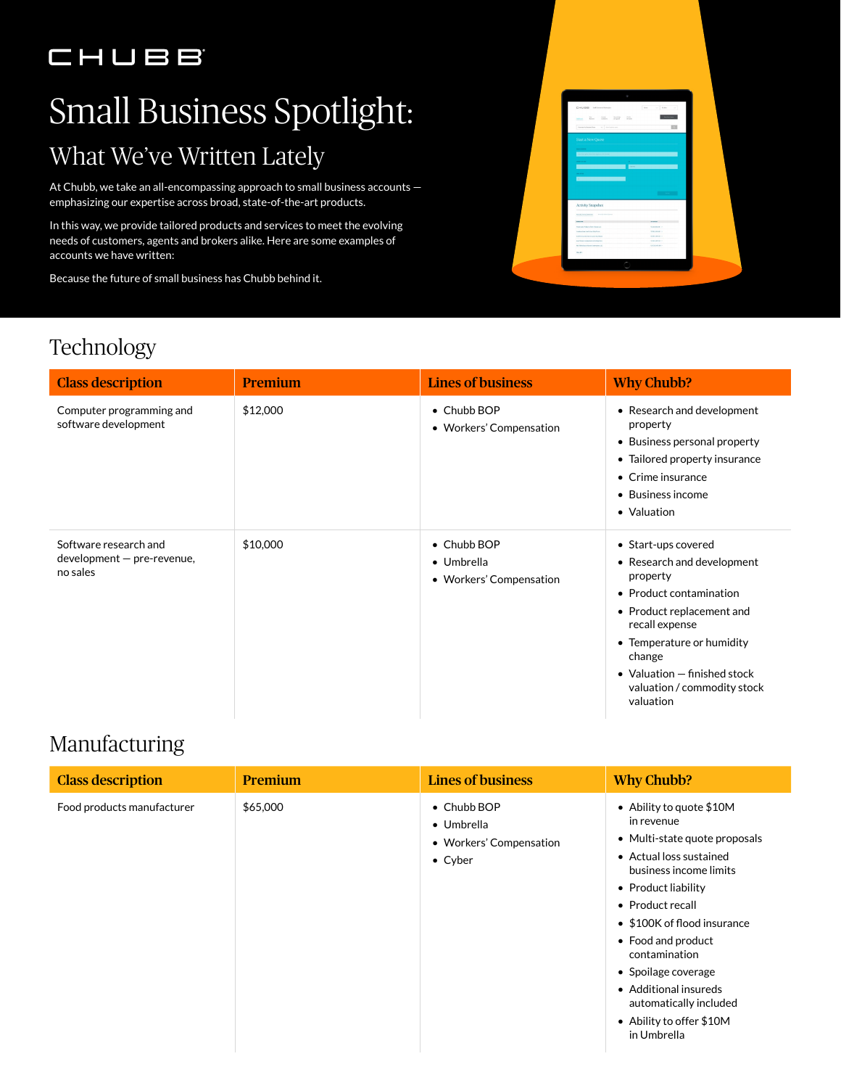# CHUBB

# Small Business Spotlight: What We've Written Lately

At Chubb, we take an all-encompassing approach to small business accounts emphasizing our expertise across broad, state-of-the-art products.

In this way, we provide tailored products and services to meet the evolving needs of customers, agents and brokers alike. Here are some examples of accounts we have written:

Because the future of small business has Chubb behind it.



### **Technology**

| <b>Class description</b>                                        | <b>Premium</b> | <b>Lines of business</b>                             | <b>Why Chubb?</b>                                                                                                                                                                                                                                            |
|-----------------------------------------------------------------|----------------|------------------------------------------------------|--------------------------------------------------------------------------------------------------------------------------------------------------------------------------------------------------------------------------------------------------------------|
| Computer programming and<br>software development                | \$12,000       | • Chubb BOP<br>• Workers' Compensation               | • Research and development<br>property<br>• Business personal property<br>• Tailored property insurance<br>$\bullet$ Crime insurance<br>• Business income<br>• Valuation                                                                                     |
| Software research and<br>development - pre-revenue,<br>no sales | \$10,000       | • Chubb BOP<br>• Umbrella<br>• Workers' Compensation | • Start-ups covered<br>• Research and development<br>property<br>• Product contamination<br>• Product replacement and<br>recall expense<br>• Temperature or humidity<br>change<br>• Valuation $-$ finished stock<br>valuation / commodity stock<br>valuation |

### Manufacturing

| <b>Class description</b>   | Premium  | <b>Lines of business</b>                                                | <b>Why Chubb?</b>                                                                                                                                                                                                                                                                                                                                                  |
|----------------------------|----------|-------------------------------------------------------------------------|--------------------------------------------------------------------------------------------------------------------------------------------------------------------------------------------------------------------------------------------------------------------------------------------------------------------------------------------------------------------|
| Food products manufacturer | \$65,000 | • Chubb BOP<br>• Umbrella<br>• Workers' Compensation<br>$\bullet$ Cyber | • Ability to quote \$10M<br>in revenue<br>• Multi-state quote proposals<br>• Actual loss sustained<br>business income limits<br>• Product liability<br>• Product recall<br>• \$100K of flood insurance<br>• Food and product<br>contamination<br>• Spoilage coverage<br>• Additional insureds<br>automatically included<br>• Ability to offer \$10M<br>in Umbrella |